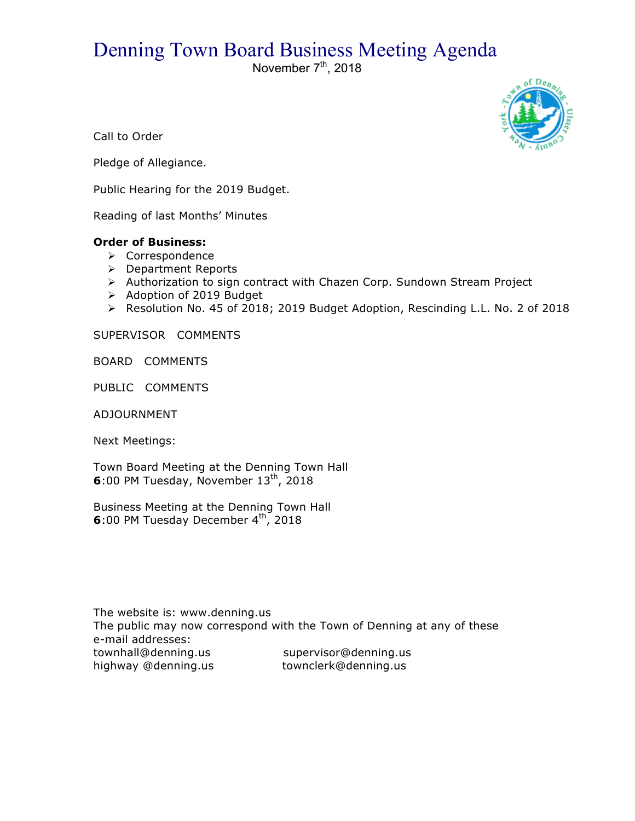## Denning Town Board Business Meeting Agenda

November  $7<sup>th</sup>$ , 2018



Call to Order

Pledge of Allegiance.

Public Hearing for the 2019 Budget.

Reading of last Months' Minutes

## **Order of Business:**

- > Correspondence
- > Department Reports
- > Authorization to sign contract with Chazen Corp. Sundown Stream Project
- > Adoption of 2019 Budget
- ! Resolution No. 45 of 2018; 2019 Budget Adoption, Rescinding L.L. No. 2 of 2018

SUPERVISOR COMMENTS

BOARD COMMENTS

PUBLIC COMMENTS

ADJOURNMENT

Next Meetings:

Town Board Meeting at the Denning Town Hall **6**:00 PM Tuesday, November 13<sup>th</sup>, 2018

Business Meeting at the Denning Town Hall **6**:00 PM Tuesday December 4<sup>th</sup>, 2018

The website is: www.denning.us The public may now correspond with the Town of Denning at any of these e-mail addresses: townhall@denning.us supervisor@denning.us highway @denning.us townclerk@denning.us